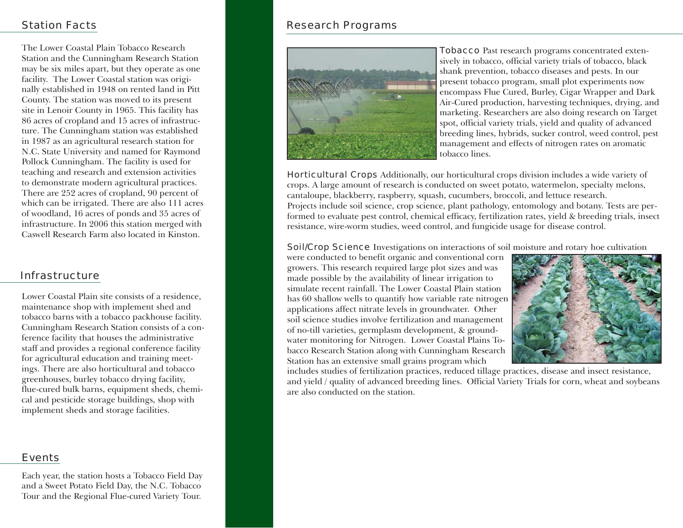## Station Facts

The Lower Coastal Plain Tobacco Research Station and the Cunningham Research Station may be six miles apart, but they operate as one facility. The Lower Coastal station was originally established in 1948 on rented land in Pitt County. The station was moved to its present site in Lenoir County in 1965. This facility has 86 acres of cropland and 15 acres of infrastructure. The Cunningham station was established in 1987 as an agricultural research station for N.C. State University and named for Raymond Pollock Cunningham. The facility is used for teaching and research and extension activities to demonstrate modern agricultural practices. There are 252 acres of cropland, 90 percent of which can be irrigated. There are also 111 acres of woodland, 16 acres of ponds and 35 acres of infrastructure. In 2006 this station merged with Caswell Research Farm also located in Kinston.

### Infrastructure

Lower Coastal Plain site consists of a residence, maintenance shop with implement shed and tobacco barns with a tobacco packhouse facility. Cunningham Research Station consists of a conference facility that houses the administrative staff and provides a regional conference facility for agricultural education and training meetings. There are also horticultural and tobacco greenhouses, burley tobacco drying facility, flue-cured bulk barns, equipment sheds, chemical and pesticide storage buildings, shop with implement sheds and storage facilities.

#### Events

Each year, the station hosts a Tobacco Field Day and a Sweet Potato Field Day, the N.C. Tobacco Tour and the Regional Flue-cured Variety Tour.

# Research Programs



**Tobacco** Past research programs concentrated extensively in tobacco, official variety trials of tobacco, black shank prevention, tobacco diseases and pests. In our present tobacco program, small plot experiments now encompass Flue Cured, Burley, Cigar Wrapper and Dark Air-Cured production, harvesting techniques, drying, and marketing. Researchers are also doing research on Target spot, official variety trials, yield and quality of advanced breeding lines, hybrids, sucker control, weed control, pest management and effects of nitrogen rates on aromatic tobacco lines.

Horticultural Crops Additionally, our horticultural crops division includes a wide variety of crops. A large amount of research is conducted on sweet potato, watermelon, specialty melons, cantaloupe, blackberry, raspberry, squash, cucumbers, broccoli, and lettuce research. Projects include soil science, crop science, plant pathology, entomology and botany. Tests are performed to evaluate pest control, chemical efficacy, fertilization rates, yield & breeding trials, insect resistance, wire-worm studies, weed control, and fungicide usage for disease control.

**Soil/Crop Science** Investigations on interactions of soil moisture and rotary hoe cultivation

were conducted to benefit organic and conventional corn growers. This research required large plot sizes and was made possible by the availability of linear irrigation to simulate recent rainfall. The Lower Coastal Plain station has 60 shallow wells to quantify how variable rate nitrogen applications affect nitrate levels in groundwater. Other soil science studies involve fertilization and management of no-till varieties, germplasm development, & groundwater monitoring for Nitrogen. Lower Coastal Plains Tobacco Research Station along with Cunningham Research Station has an extensive small grains program which



includes studies of fertilization practices, reduced tillage practices, disease and insect resistance, and yield / quality of advanced breeding lines. Official Variety Trials for corn, wheat and soybeans are also conducted on the station.